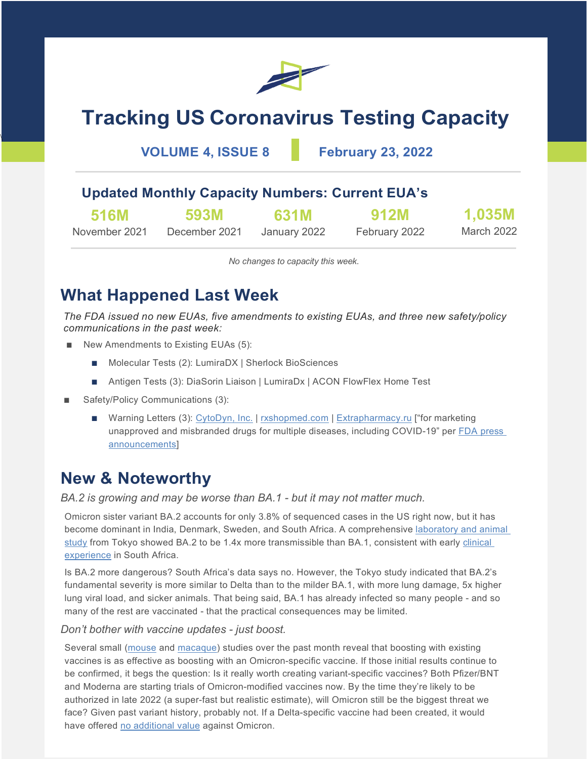

# **Tracking US Coronavirus Testing Capacity**

**VOLUME 4, ISSUE 8 February 23, 2022**

### **Updated Monthly Capacity Numbers: Current EUA's**

| <b>516M</b>   | 593M          | 631M         | <b>912M</b>   | 1,035M     |
|---------------|---------------|--------------|---------------|------------|
| November 2021 | December 2021 | January 2022 | February 2022 | March 2022 |

*No changes to capacity this week.*

### **What Happened Last Week**

*The FDA issued no new EUAs, five amendments to existing EUAs, and three new safety/policy communications in the past week:*

- New Amendments to Existing EUAs (5):
	- Molecular Tests (2): LumiraDX | Sherlock BioSciences
	- Antigen Tests (3): DiaSorin Liaison | LumiraDx | ACON FlowFlex Home Test
- Safety/Policy Communications (3):

\

■ Warning Letters (3): [CytoDyn, Inc.](https://www.fda.gov/inspections-compliance-enforcement-and-criminal-investigations/warning-letters/cytodyn-inc-626957-02112022) | [rxshopmed.com](https://www.fda.gov/inspections-compliance-enforcement-and-criminal-investigations/warning-letters/rxshopmdcom-615753-02152022) | [Extrapharmacy.ru](https://www.fda.gov/inspections-compliance-enforcement-and-criminal-investigations/warning-letters/extrapharmacyru-615132-02152022) ["for marketing unapproved and misbranded drugs for multiple diseases, including COVID-19" per [FDA press](https://www.fda.gov/news-events/press-announcements/fda-roundup-february-22-2022)  [announcements\]](https://www.fda.gov/news-events/press-announcements/fda-roundup-february-22-2022)

### **New & Noteworthy**

*BA.2 is growing and may be worse than BA.1 - but it may not matter much.*

Omicron sister variant BA.2 accounts for only 3.8% of sequenced cases in the US right now, but it has become dominant in India, Denmark, Sweden, and South Africa. A comprehensive [laboratory and animal](https://doi.org/10.1101/2022.02.14.480335)  [study](https://doi.org/10.1101/2022.02.14.480335) from Tokyo showed BA.2 to be 1.4x more transmissible than BA.1, consistent with early clinical [experience](https://doi.org/10.1101/2022.02.17.22271030) in South Africa.

Is BA.2 more dangerous? South Africa's data says no. However, the Tokyo study indicated that BA.2's fundamental severity is more similar to Delta than to the milder BA.1, with more lung damage, 5x higher lung viral load, and sicker animals. That being said, BA.1 has already infected so many people - and so many of the rest are vaccinated - that the practical consequences may be limited.

#### *Don't bother with vaccine updates - just boost.*

Several small [\(mouse](https://doi.org/10.1101/2022.02.07.479419) and [macaque\)](https://doi.org/10.1101/2022.02.03.479037) studies over the past month reveal that boosting with existing vaccines is as effective as boosting with an Omicron-specific vaccine. If those initial results continue to be confirmed, it begs the question: Is it really worth creating variant-specific vaccines? Both Pfizer/BNT and Moderna are starting trials of Omicron-modified vaccines now. By the time they're likely to be authorized in late 2022 (a super-fast but realistic estimate), will Omicron still be the biggest threat we face? Given past variant history, probably not. If a Delta-specific vaccine had been created, it would have offered [no additional value](https://doi.org/10.1101/2022.01.31.478406) against Omicron.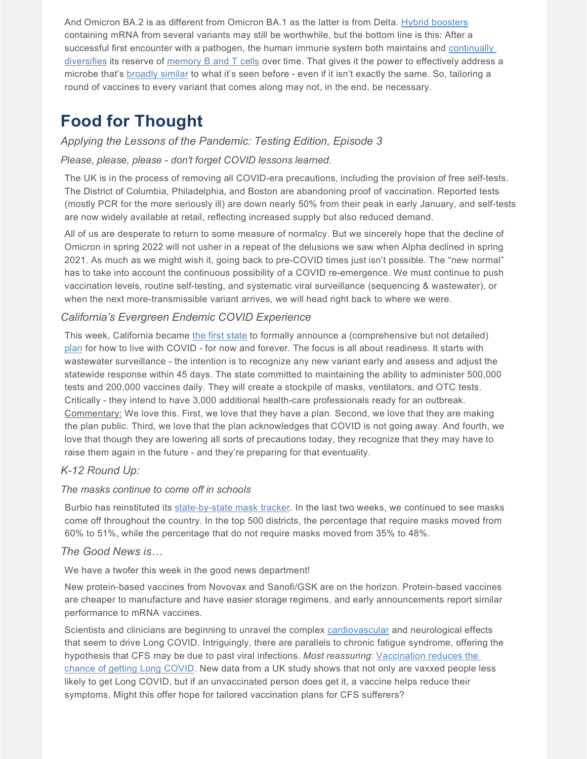And Omicron BA.2 is as different from Omicron BA.1 as the latter is from Delta. [Hybrid boosters](https://doi.org/10.1101/2022.01.31.478406) containing mRNA from several variants may still be worthwhile, but the bottom line is this: After a successful first encounter with a pathogen, the human immune system both maintains and continually [diversifies](https://www.nature.com/articles/s41586-022-04527-1) its reserve of [memory B and T cells](https://doi.org/10.1101/2022.02.14.480394) over time. That gives it the power to effectively address a microbe that's [broadly similar](https://doi.org/10.1101/2022.02.20.481163) to what it's seen before - even if it isn't exactly the same. So, tailoring a round of vaccines to every variant that comes along may not, in the end, be necessary.

### **Food for Thought**

#### *Applying the Lessons of the Pandemic: Testing Edition, Episode 3*

#### *Please, please, please - don't forget COVID lessons learned.*

The UK is in the process of removing all COVID-era precautions, including the provision of free self-tests. The District of Columbia, Philadelphia, and Boston are abandoning proof of vaccination. Reported tests (mostly PCR for the more seriously ill) are down nearly 50% from their peak in early January, and self-tests are now widely available at retail, reflecting increased supply but also reduced demand.

All of us are desperate to return to some measure of normalcy. But we sincerely hope that the decline of Omicron in spring 2022 will not usher in a repeat of the delusions we saw when Alpha declined in spring 2021. As much as we might wish it, going back to pre-COVID times just isn't possible. The "new normal" has to take into account the continuous possibility of a COVID re-emergence. We must continue to push vaccination levels, routine self-testing, and systematic viral surveillance (sequencing & wastewater), or when the next more-transmissible variant arrives, we will head right back to where we were.

#### *California's Evergreen Endemic COVID Experience*

This week, California became [the first state](https://apnews.com/article/coronavirus-pandemic-health-business-misinformation-pandemics-ebc60cf0ce5215711d3906d302a5dc0e) to formally announce a (comprehensive but not detailed) [plan](https://www.cnbc.com/2022/02/17/california-prepares-to-live-with-covid-laying-out-plan-to-fight-future-surges-and-new-variants.html) for how to live with COVID - for now and forever. The focus is all about readiness. It starts with wastewater surveillance - the intention is to recognize any new variant early and assess and adjust the statewide response within 45 days. The state committed to maintaining the ability to administer 500,000 tests and 200,000 vaccines daily. They will create a stockpile of masks, ventilators, and OTC tests. Critically - they intend to have 3,000 additional health-care professionals ready for an outbreak. Commentary: We love this. First, we love that they have a plan. Second, we love that they are making the plan public. Third, we love that the plan acknowledges that COVID is not going away. And fourth, we love that though they are lowering all sorts of precautions today, they recognize that they may have to raise them again in the future - and they're preparing for that eventuality.

#### *K-12 Round Up:*

#### *The masks continue to come off in schools*

Burbio has reinstituted its [state-by-state mask tracker.](https://about.burbio.com/school-mask-policies-by-state/) In the last two weeks, we continued to see masks come off throughout the country. In the top 500 districts, the percentage that require masks moved from 60% to 51%, while the percentage that do not require masks moved from 35% to 48%.

#### *The Good News is…*

We have a twofer this week in the good news department!

New protein-based vaccines from Novovax and Sanofi/GSK are on the horizon. Protein-based vaccines are cheaper to manufacture and have easier storage regimens, and early announcements report similar performance to mRNA vaccines.

Scientists and clinicians are beginning to unravel the complex [cardiovascular](https://www.science.org/content/article/covid-19-takes-serious-toll-heart-health-full-year-after-recovery) and neurological effects that seem to drive Long COVID. Intriguingly, there are parallels to chronic fatigue syndrome, offering the hypothesis that CFS may be due to past viral infections. *Most reassuring*: [Vaccination reduces the](https://www.medscape.com/viewarticle/968707?uac=158276FX&faf=1&sso=true&impID=4028193&src=mkm_covid_update_220217_MSCPEDIT)  [chance of getting Long COVID.](https://www.medscape.com/viewarticle/968707?uac=158276FX&faf=1&sso=true&impID=4028193&src=mkm_covid_update_220217_MSCPEDIT) New data from a UK study shows that not only are vaxxed people less likely to get Long COVID, but if an unvaccinated person does get it, a vaccine helps reduce their symptoms. Might this offer hope for tailored vaccination plans for CFS sufferers?